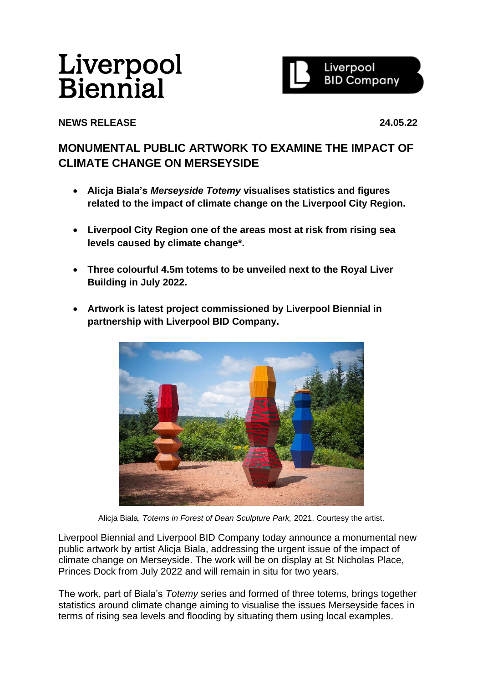# Liverpool **Biennial**



# **NEWS RELEASE 24.05.22**

# **MONUMENTAL PUBLIC ARTWORK TO EXAMINE THE IMPACT OF CLIMATE CHANGE ON MERSEYSIDE**

- **Alicja Biala's** *Merseyside Totemy* **visualises statistics and figures related to the impact of climate change on the Liverpool City Region.**
- **Liverpool City Region one of the areas most at risk from rising sea levels caused by climate change\*.**
- **Three colourful 4.5m totems to be unveiled next to the Royal Liver Building in July 2022.**
- **Artwork is latest project commissioned by Liverpool Biennial in partnership with Liverpool BID Company.**



Alicja Biala, *Totems in Forest of Dean Sculpture Park,* 2021. Courtesy the artist.

Liverpool Biennial and Liverpool BID Company today announce a monumental new public artwork by artist Alicja Biala, addressing the urgent issue of the impact of climate change on Merseyside. The work will be on display at St Nicholas Place, Princes Dock from July 2022 and will remain in situ for two years.

The work, part of Biala's *Totemy* series and formed of three totems, brings together statistics around climate change aiming to visualise the issues Merseyside faces in terms of rising sea levels and flooding by situating them using local examples.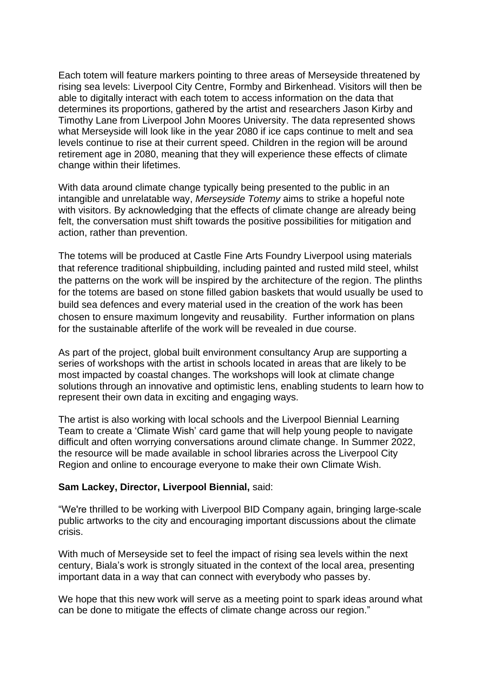Each totem will feature markers pointing to three areas of Merseyside threatened by rising sea levels: Liverpool City Centre, Formby and Birkenhead. Visitors will then be able to digitally interact with each totem to access information on the data that determines its proportions, gathered by the artist and researchers Jason Kirby and Timothy Lane from Liverpool John Moores University. The data represented shows what Merseyside will look like in the year 2080 if ice caps continue to melt and sea levels continue to rise at their current speed. Children in the region will be around retirement age in 2080, meaning that they will experience these effects of climate change within their lifetimes.

With data around climate change typically being presented to the public in an intangible and unrelatable way, *Merseyside Totemy* aims to strike a hopeful note with visitors. By acknowledging that the effects of climate change are already being felt, the conversation must shift towards the positive possibilities for mitigation and action, rather than prevention.

The totems will be produced at Castle Fine Arts Foundry Liverpool using materials that reference traditional shipbuilding, including painted and rusted mild steel, whilst the patterns on the work will be inspired by the architecture of the region. The plinths for the totems are based on stone filled gabion baskets that would usually be used to build sea defences and every material used in the creation of the work has been chosen to ensure maximum longevity and reusability. Further information on plans for the sustainable afterlife of the work will be revealed in due course.

As part of the project, global built environment consultancy Arup are supporting a series of workshops with the artist in schools located in areas that are likely to be most impacted by coastal changes. The workshops will look at climate change solutions through an innovative and optimistic lens, enabling students to learn how to represent their own data in exciting and engaging ways.

The artist is also working with local schools and the Liverpool Biennial Learning Team to create a 'Climate Wish' card game that will help young people to navigate difficult and often worrying conversations around climate change. In Summer 2022, the resource will be made available in school libraries across the Liverpool City Region and online to encourage everyone to make their own Climate Wish.

# **Sam Lackey, Director, Liverpool Biennial,** said:

"We're thrilled to be working with Liverpool BID Company again, bringing large-scale public artworks to the city and encouraging important discussions about the climate crisis.

With much of Merseyside set to feel the impact of rising sea levels within the next century, Biala's work is strongly situated in the context of the local area, presenting important data in a way that can connect with everybody who passes by.

We hope that this new work will serve as a meeting point to spark ideas around what can be done to mitigate the effects of climate change across our region."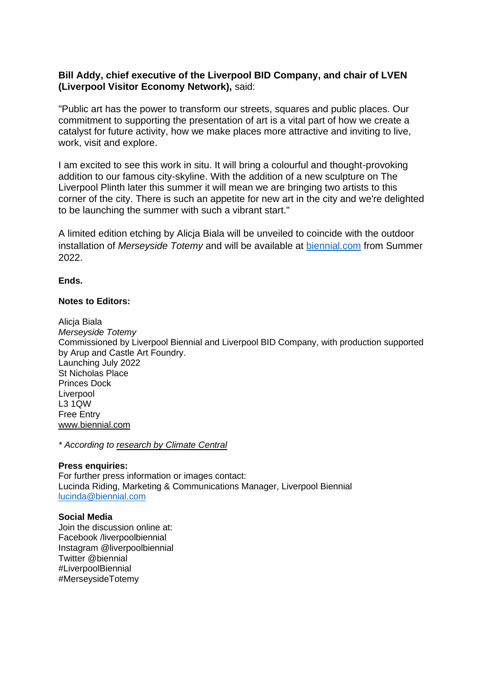# **Bill Addy, chief executive of the Liverpool BID Company, and chair of LVEN (Liverpool Visitor Economy Network),** said:

"Public art has the power to transform our streets, squares and public places. Our commitment to supporting the presentation of art is a vital part of how we create a catalyst for future activity, how we make places more attractive and inviting to live, work, visit and explore.

I am excited to see this work in situ. It will bring a colourful and thought-provoking addition to our famous city-skyline. With the addition of a new sculpture on The Liverpool Plinth later this summer it will mean we are bringing two artists to this corner of the city. There is such an appetite for new art in the city and we're delighted to be launching the summer with such a vibrant start."

A limited edition etching by Alicja Biala will be unveiled to coincide with the outdoor installation of *Merseyside Totemy* and will be available at [biennial.com](https://www.biennial.com/) from Summer 2022.

# **Ends.**

# **Notes to Editors:**

Alicja Biala *Merseyside Totemy* Commissioned by Liverpool Biennial and Liverpool BID Company, with production supported by Arup and Castle Art Foundry. Launching July 2022 St Nicholas Place Princes Dock Liverpool L3 1QW Free Entry [www.biennial.com](http://www.biennial.com/)

*\* According to research by [Climate Central](https://coastal.climatecentral.org/map/10/-2.9202/53.4959/?theme=sea_level_rise&map_type=year&basemap=roadmap&contiguous=true&elevation_model=best_available&forecast_year=2040&pathway=ssp3rcp70&percentile=p50&refresh=true&return_level=return_level_1&rl_model=gtsr&slr_model=ipcc_2021_med)*

#### **Press enquiries:**

For further press information or images contact: Lucinda Riding, Marketing & Communications Manager, Liverpool Biennial [lucinda@biennial.com](mailto:lucinda@biennial.com)

#### **Social Media**

Join the discussion online at: Facebook /liverpoolbiennial Instagram @liverpoolbiennial Twitter @biennial #LiverpoolBiennial #MerseysideTotemy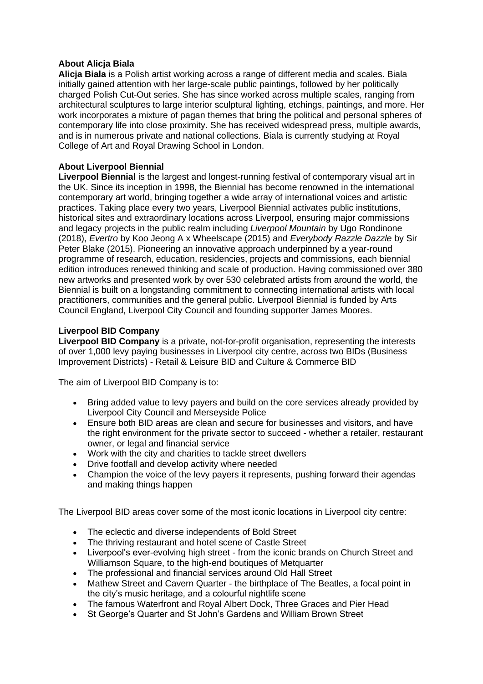# **About Alicja Biala**

**Alicja Biala** is a Polish artist working across a range of different media and scales. Biala initially gained attention with her large-scale public paintings, followed by her politically charged Polish Cut-Out series. She has since worked across multiple scales, ranging from architectural sculptures to large interior sculptural lighting, etchings, paintings, and more. Her work incorporates a mixture of pagan themes that bring the political and personal spheres of contemporary life into close proximity. She has received widespread press, multiple awards, and is in numerous private and national collections. Biala is currently studying at Royal College of Art and Royal Drawing School in London.

# **About Liverpool Biennial**

**Liverpool Biennial** is the largest and longest-running festival of contemporary visual art in the UK. Since its inception in 1998, the Biennial has become renowned in the international contemporary art world, bringing together a wide array of international voices and artistic practices. Taking place every two years, Liverpool Biennial activates public institutions, historical sites and extraordinary locations across Liverpool, ensuring major commissions and legacy projects in the public realm including *Liverpool Mountain* by Ugo Rondinone (2018), *Evertro* by Koo Jeong A x Wheelscape (2015) and *Everybody Razzle Dazzle* by Sir Peter Blake (2015). Pioneering an innovative approach underpinned by a year-round programme of research, education, residencies, projects and commissions, each biennial edition introduces renewed thinking and scale of production. Having commissioned over 380 new artworks and presented work by over 530 celebrated artists from around the world, the Biennial is built on a longstanding commitment to connecting international artists with local practitioners, communities and the general public. Liverpool Biennial is funded by Arts Council England, Liverpool City Council and founding supporter James Moores.

# **Liverpool BID Company**

**Liverpool BID Company** is a private, not-for-profit organisation, representing the interests of over 1,000 levy paying businesses in Liverpool city centre, across two BIDs (Business Improvement Districts) - Retail & Leisure BID and Culture & Commerce BID

The aim of Liverpool BID Company is to:

- Bring added value to levy payers and build on the core services already provided by Liverpool City Council and Merseyside Police
- Ensure both BID areas are clean and secure for businesses and visitors, and have the right environment for the private sector to succeed - whether a retailer, restaurant owner, or legal and financial service
- Work with the city and charities to tackle street dwellers
- Drive footfall and develop activity where needed
- Champion the voice of the levy payers it represents, pushing forward their agendas and making things happen

The Liverpool BID areas cover some of the most iconic locations in Liverpool city centre:

- The eclectic and diverse independents of Bold Street
- The thriving restaurant and hotel scene of Castle Street
- Liverpool's ever-evolving high street from the iconic brands on Church Street and Williamson Square, to the high-end boutiques of Metquarter
- The professional and financial services around Old Hall Street
- Mathew Street and Cavern Quarter the birthplace of The Beatles, a focal point in the city's music heritage, and a colourful nightlife scene
- The famous Waterfront and Royal Albert Dock, Three Graces and Pier Head
- St George's Quarter and St John's Gardens and William Brown Street